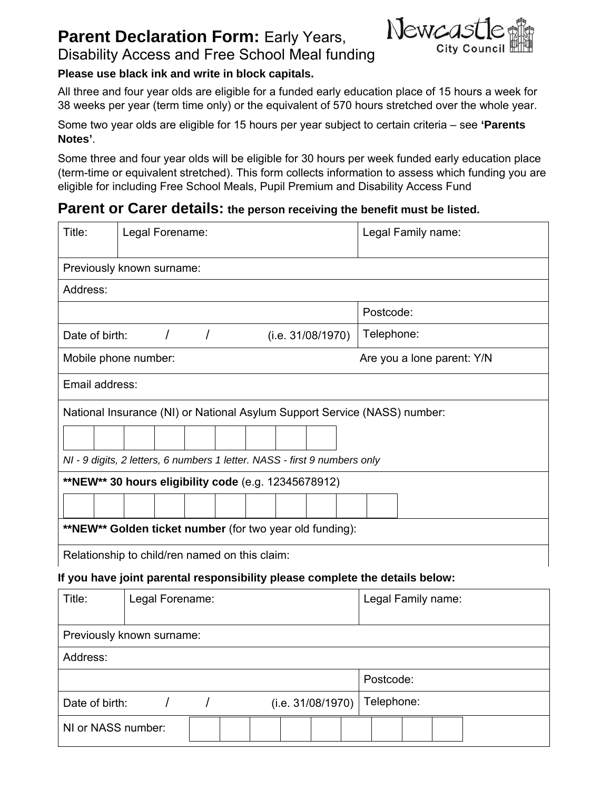# **Parent Declaration Form: Early Years,** Disability Access and Free School Meal funding



#### **Please use black ink and write in block capitals.**

All three and four year olds are eligible for a funded early education place of 15 hours a week for 38 weeks per year (term time only) or the equivalent of 570 hours stretched over the whole year.

Some two year olds are eligible for 15 hours per year subject to certain criteria – see **'Parents Notes'**.

Some three and four year olds will be eligible for 30 hours per week funded early education place (term-time or equivalent stretched). This form collects information to assess which funding you are eligible for including Free School Meals, Pupil Premium and Disability Access Fund

## **Parent or Carer details: the person receiving the benefit must be listed.**

| Title:                                                   | Legal Forename:                                                           |            |  | Legal Family name: |  |                                                                           |  |  |
|----------------------------------------------------------|---------------------------------------------------------------------------|------------|--|--------------------|--|---------------------------------------------------------------------------|--|--|
|                                                          | Previously known surname:                                                 |            |  |                    |  |                                                                           |  |  |
| Address:                                                 |                                                                           |            |  |                    |  |                                                                           |  |  |
|                                                          |                                                                           |            |  |                    |  | Postcode:                                                                 |  |  |
| Date of birth:                                           |                                                                           | $\sqrt{2}$ |  | (i.e. 31/08/1970)  |  | Telephone:                                                                |  |  |
|                                                          | Mobile phone number:                                                      |            |  |                    |  | Are you a lone parent: Y/N                                                |  |  |
| Email address:                                           |                                                                           |            |  |                    |  |                                                                           |  |  |
|                                                          |                                                                           |            |  |                    |  | National Insurance (NI) or National Asylum Support Service (NASS) number: |  |  |
|                                                          |                                                                           |            |  |                    |  |                                                                           |  |  |
|                                                          | NI - 9 digits, 2 letters, 6 numbers 1 letter. NASS - first 9 numbers only |            |  |                    |  |                                                                           |  |  |
| **NEW** 30 hours eligibility code (e.g. 12345678912)     |                                                                           |            |  |                    |  |                                                                           |  |  |
|                                                          |                                                                           |            |  |                    |  |                                                                           |  |  |
| **NEW** Golden ticket number (for two year old funding): |                                                                           |            |  |                    |  |                                                                           |  |  |
| Relationship to child/ren named on this claim:           |                                                                           |            |  |                    |  |                                                                           |  |  |

#### **If you have joint parental responsibility please complete the details below:**

| Title:                              | Legal Forename: |  |  | Legal Family name: |  |  |  |
|-------------------------------------|-----------------|--|--|--------------------|--|--|--|
| Previously known surname:           |                 |  |  |                    |  |  |  |
| Address:                            |                 |  |  |                    |  |  |  |
|                                     |                 |  |  |                    |  |  |  |
| Date of birth:<br>(i.e. 31/08/1970) |                 |  |  | Telephone:         |  |  |  |
| NI or NASS number:                  |                 |  |  |                    |  |  |  |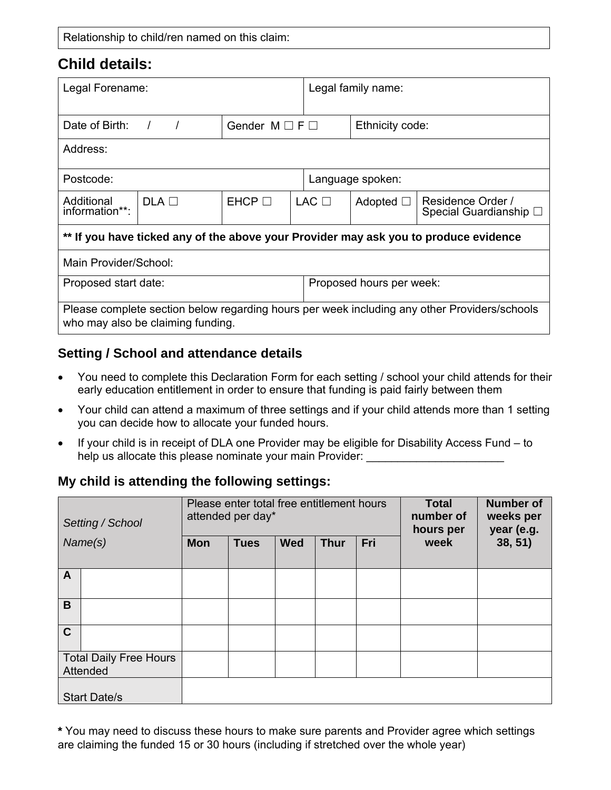# **Child details:**

| Legal Forename:                                                                                                                   |                              |              |  | Legal family name:       |                |                                             |  |  |
|-----------------------------------------------------------------------------------------------------------------------------------|------------------------------|--------------|--|--------------------------|----------------|---------------------------------------------|--|--|
| Date of Birth:                                                                                                                    | Gender $M \square F \square$ |              |  | Ethnicity code:          |                |                                             |  |  |
| Address:                                                                                                                          |                              |              |  |                          |                |                                             |  |  |
| Postcode:                                                                                                                         |                              |              |  | Language spoken:         |                |                                             |  |  |
| Additional<br>information**:                                                                                                      | $DLA$ $\Box$                 | $E HCP \Box$ |  | $LAC$ $\Box$             | Adopted $\Box$ | Residence Order /<br>Special Guardianship □ |  |  |
| ** If you have ticked any of the above your Provider may ask you to produce evidence                                              |                              |              |  |                          |                |                                             |  |  |
| Main Provider/School:                                                                                                             |                              |              |  |                          |                |                                             |  |  |
| Proposed start date:                                                                                                              |                              |              |  | Proposed hours per week: |                |                                             |  |  |
| Please complete section below regarding hours per week including any other Providers/schools<br>who may also be claiming funding. |                              |              |  |                          |                |                                             |  |  |

### **Setting / School and attendance details**

- You need to complete this Declaration Form for each setting / school your child attends for their early education entitlement in order to ensure that funding is paid fairly between them
- Your child can attend a maximum of three settings and if your child attends more than 1 setting you can decide how to allocate your funded hours.
- If your child is in receipt of DLA one Provider may be eligible for Disability Access Fund to help us allocate this please nominate your main Provider:

## **My child is attending the following settings:**

| Setting / School                          |  |            | Please enter total free entitlement hours<br>attended per day* |            | <b>Total</b><br>number of<br>hours per | <b>Number of</b><br>weeks per<br>year (e.g. |      |         |
|-------------------------------------------|--|------------|----------------------------------------------------------------|------------|----------------------------------------|---------------------------------------------|------|---------|
| Name(s)                                   |  | <b>Mon</b> | <b>Tues</b>                                                    | <b>Wed</b> | <b>Thur</b>                            | Fri                                         | week | 38, 51) |
| A                                         |  |            |                                                                |            |                                        |                                             |      |         |
| B                                         |  |            |                                                                |            |                                        |                                             |      |         |
| $\mathbf C$                               |  |            |                                                                |            |                                        |                                             |      |         |
| <b>Total Daily Free Hours</b><br>Attended |  |            |                                                                |            |                                        |                                             |      |         |
| <b>Start Date/s</b>                       |  |            |                                                                |            |                                        |                                             |      |         |

**\*** You may need to discuss these hours to make sure parents and Provider agree which settings are claiming the funded 15 or 30 hours (including if stretched over the whole year)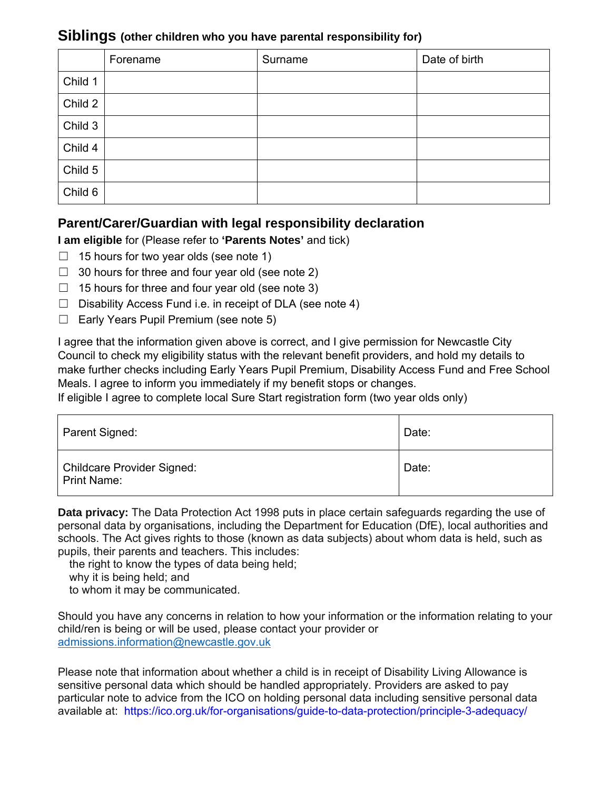### **Siblings (other children who you have parental responsibility for)**

|         | Forename | Surname | Date of birth |
|---------|----------|---------|---------------|
| Child 1 |          |         |               |
| Child 2 |          |         |               |
| Child 3 |          |         |               |
| Child 4 |          |         |               |
| Child 5 |          |         |               |
| Child 6 |          |         |               |

## **Parent/Carer/Guardian with legal responsibility declaration**

#### **I am eligible** for (Please refer to **'Parents Notes'** and tick)

- $\Box$  15 hours for two year olds (see note 1)
- $\Box$  30 hours for three and four year old (see note 2)
- $\Box$  15 hours for three and four year old (see note 3)
- $\Box$  Disability Access Fund i.e. in receipt of DLA (see note 4)
- ☐ Early Years Pupil Premium (see note 5)

I agree that the information given above is correct, and I give permission for Newcastle City Council to check my eligibility status with the relevant benefit providers, and hold my details to make further checks including Early Years Pupil Premium, Disability Access Fund and Free School Meals. I agree to inform you immediately if my benefit stops or changes.

If eligible I agree to complete local Sure Start registration form (two year olds only)

| Parent Signed:                                   | Date: |
|--------------------------------------------------|-------|
| Childcare Provider Signed:<br><b>Print Name:</b> | Date: |

**Data privacy:** The Data Protection Act 1998 puts in place certain safeguards regarding the use of personal data by organisations, including the Department for Education (DfE), local authorities and schools. The Act gives rights to those (known as data subjects) about whom data is held, such as pupils, their parents and teachers. This includes:

the right to know the types of data being held;

why it is being held; and

to whom it may be communicated.

Should you have any concerns in relation to how your information or the information relating to your child/ren is being or will be used, please contact your provider or admissions.information@newcastle.gov.uk

Please note that information about whether a child is in receipt of Disability Living Allowance is sensitive personal data which should be handled appropriately. Providers are asked to pay particular note to advice from the ICO on holding personal data including sensitive personal data available at: https://ico.org.uk/for-organisations/guide-to-data-protection/principle-3-adequacy/